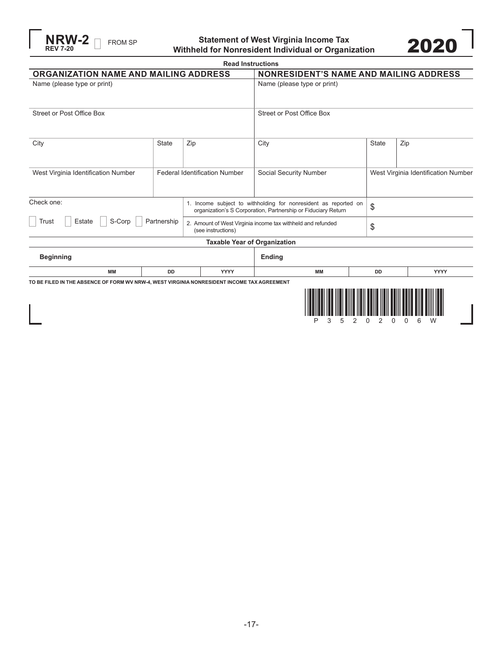

**FROM SP** Statement of West Virginia Income Tax **2020** 



|                                                                                                                                                |                                      |     | <b>Read Instructions</b>            |                                                             |           |              |                                     |  |      |
|------------------------------------------------------------------------------------------------------------------------------------------------|--------------------------------------|-----|-------------------------------------|-------------------------------------------------------------|-----------|--------------|-------------------------------------|--|------|
| ORGANIZATION NAME AND MAILING ADDRESS                                                                                                          |                                      |     |                                     | <b>NONRESIDENT'S NAME AND MAILING ADDRESS</b>               |           |              |                                     |  |      |
| Name (please type or print)                                                                                                                    |                                      |     |                                     | Name (please type or print)                                 |           |              |                                     |  |      |
| <b>Street or Post Office Box</b>                                                                                                               |                                      |     |                                     | <b>Street or Post Office Box</b>                            |           |              |                                     |  |      |
| City                                                                                                                                           | <b>State</b>                         | Zip |                                     | City                                                        |           | <b>State</b> | Zip                                 |  |      |
| West Virginia Identification Number                                                                                                            | <b>Federal Identification Number</b> |     |                                     | Social Security Number                                      |           |              | West Virginia Identification Number |  |      |
| Check one:<br>1. Income subject to withholding for nonresident as reported on<br>organization's S Corporation, Partnership or Fiduciary Return |                                      |     |                                     | \$                                                          |           |              |                                     |  |      |
| S-Corp<br>Trust<br>Estate<br>Partnership                                                                                                       |                                      |     | (see instructions)                  | 2. Amount of West Virginia income tax withheld and refunded |           |              | \$                                  |  |      |
|                                                                                                                                                |                                      |     | <b>Taxable Year of Organization</b> |                                                             |           |              |                                     |  |      |
| <b>Beginning</b>                                                                                                                               |                                      |     |                                     | <b>Ending</b>                                               |           |              |                                     |  |      |
| <b>MM</b>                                                                                                                                      | <b>DD</b>                            |     | <b>YYYY</b>                         |                                                             | <b>MM</b> |              | <b>DD</b>                           |  | YYYY |
| TO BE FILED IN THE ABSENCE OF FORM WV NRW-4, WEST VIRGINIA NONRESIDENT INCOME TAX AGREEMENT                                                    |                                      |     |                                     |                                                             | З<br>5    | 2            | 2<br>$\Omega$<br>$\Omega$           |  | 6    |